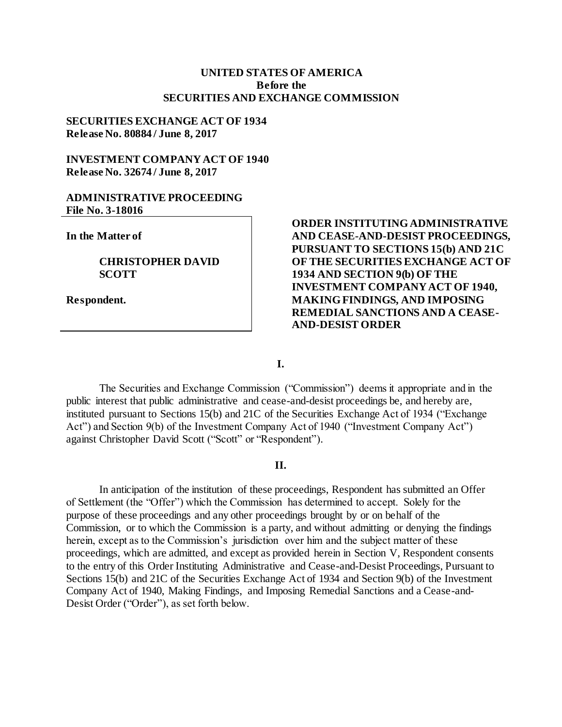#### **UNITED STATES OF AMERICA Before the SECURITIES AND EXCHANGE COMMISSION**

## **SECURITIES EXCHANGE ACT OF 1934 Release No. 80884 / June 8, 2017**

## **INVESTMENT COMPANY ACT OF 1940 Release No. 32674 / June 8, 2017**

#### **ADMINISTRATIVE PROCEEDING File No. 3-18016**

**In the Matter of**

**CHRISTOPHER DAVID SCOTT**

**Respondent.**

# **ORDER INSTITUTING ADMINISTRATIVE AND CEASE-AND-DESIST PROCEEDINGS, PURSUANT TO SECTIONS 15(b) AND 21C OF THE SECURITIES EXCHANGE ACT OF 1934 AND SECTION 9(b) OF THE INVESTMENT COMPANY ACT OF 1940, MAKING FINDINGS, AND IMPOSING REMEDIAL SANCTIONS AND A CEASE-AND-DESIST ORDER**

**I.**

The Securities and Exchange Commission ("Commission") deems it appropriate and in the public interest that public administrative and cease-and-desist proceedings be, and hereby are, instituted pursuant to Sections 15(b) and 21C of the Securities Exchange Act of 1934 ("Exchange Act") and Section 9(b) of the Investment Company Act of 1940 ("Investment Company Act") against Christopher David Scott ("Scott" or "Respondent").

### **II.**

In anticipation of the institution of these proceedings, Respondent has submitted an Offer of Settlement (the "Offer") which the Commission has determined to accept. Solely for the purpose of these proceedings and any other proceedings brought by or on behalf of the Commission, or to which the Commission is a party, and without admitting or denying the findings herein, except as to the Commission's jurisdiction over him and the subject matter of these proceedings, which are admitted, and except as provided herein in Section V, Respondent consents to the entry of this Order Instituting Administrative and Cease-and-Desist Proceedings, Pursuant to Sections 15(b) and 21C of the Securities Exchange Act of 1934 and Section 9(b) of the Investment Company Act of 1940, Making Findings, and Imposing Remedial Sanctions and a Cease-and-Desist Order ("Order"), as set forth below.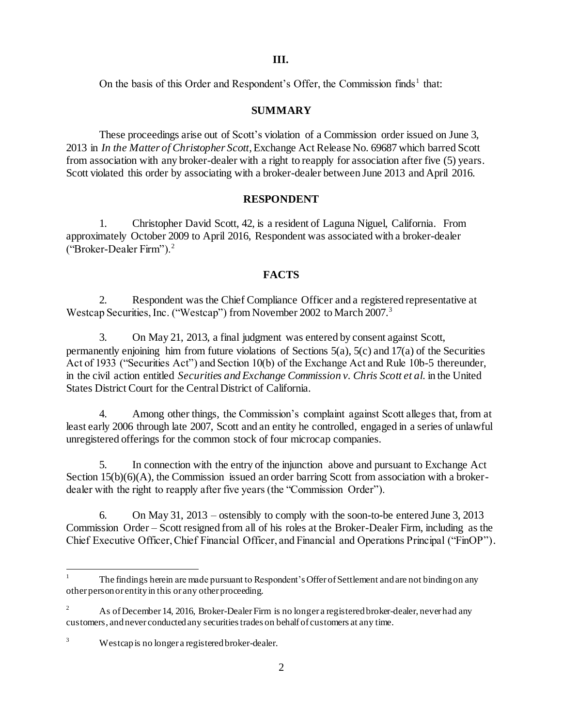On the basis of this Order and Respondent's Offer, the Commission finds<sup>1</sup> that:

### **SUMMARY**

These proceedings arise out of Scott's violation of a Commission order issued on June 3, 2013 in *In the Matter of Christopher Scott*, Exchange Act Release No. 69687 which barred Scott from association with any broker-dealer with a right to reapply for association after five (5) years. Scott violated this order by associating with a broker-dealer between June 2013 and April 2016.

# **RESPONDENT**

1. Christopher David Scott, 42, is a resident of Laguna Niguel, California. From approximately October 2009 to April 2016, Respondent was associated with a broker-dealer ("Broker-Dealer Firm").<sup>2</sup>

# **FACTS**

2. Respondent was the Chief Compliance Officer and a registered representative at Westcap Securities, Inc. ("Westcap") from November 2002 to March 2007.<sup>3</sup>

3. On May 21, 2013, a final judgment was entered by consent against Scott, permanently enjoining him from future violations of Sections  $5(a)$ ,  $5(c)$  and  $17(a)$  of the Securities Act of 1933 ("Securities Act") and Section 10(b) of the Exchange Act and Rule 10b-5 thereunder, in the civil action entitled *Securities and Exchange Commission v. Chris Scott et al.* in the United States District Court for the Central District of California.

4. Among other things, the Commission's complaint against Scott alleges that, from at least early 2006 through late 2007, Scott and an entity he controlled, engaged in a series of unlawful unregistered offerings for the common stock of four microcap companies.

5. In connection with the entry of the injunction above and pursuant to Exchange Act Section 15(b)(6)(A), the Commission issued an order barring Scott from association with a brokerdealer with the right to reapply after five years (the "Commission Order").

6. On May 31, 2013 – ostensibly to comply with the soon-to-be entered June 3, 2013 Commission Order – Scott resigned from all of his roles at the Broker-Dealer Firm, including as the Chief Executive Officer, Chief Financial Officer, and Financial and Operations Principal ("FinOP").

l

<sup>1</sup> The findings herein are made pursuant to Respondent's Offer of Settlement and are not binding on any other person or entity in this or any other proceeding.

<sup>2</sup> As of December 14, 2016, Broker-Dealer Firm is no longer a registered broker-dealer, never had any customers, and never conducted any securities trades on behalf of customers at any time.

<sup>&</sup>lt;sup>3</sup> Westcap is no longer a registered broker-dealer.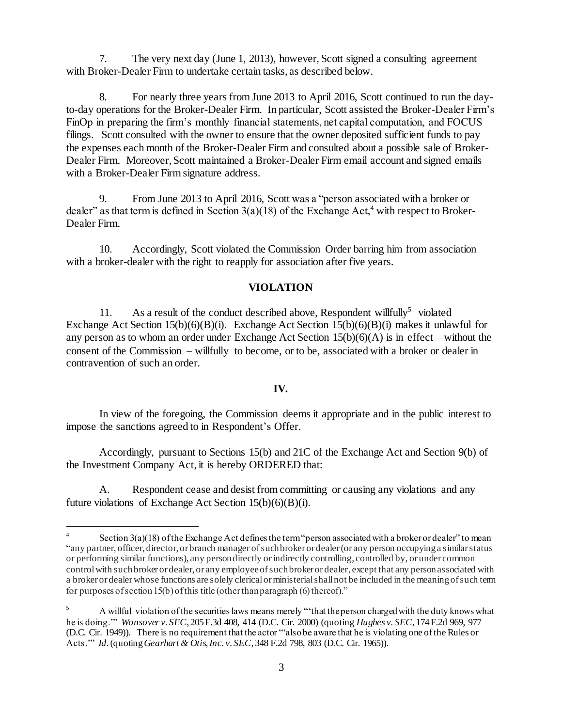7. The very next day (June 1, 2013), however, Scott signed a consulting agreement with Broker-Dealer Firm to undertake certain tasks, as described below.

8. For nearly three years from June 2013 to April 2016, Scott continued to run the dayto-day operations for the Broker-Dealer Firm. In particular, Scott assisted the Broker-Dealer Firm's FinOp in preparing the firm's monthly financial statements, net capital computation, and FOCUS filings. Scott consulted with the owner to ensure that the owner deposited sufficient funds to pay the expenses each month of the Broker-Dealer Firm and consulted about a possible sale of Broker-Dealer Firm. Moreover, Scott maintained a Broker-Dealer Firm email account and signed emails with a Broker-Dealer Firm signature address.

9. From June 2013 to April 2016, Scott was a "person associated with a broker or dealer" as that term is defined in Section  $3(a)(18)$  of the Exchange Act,<sup>4</sup> with respect to Broker-Dealer Firm.

10. Accordingly, Scott violated the Commission Order barring him from association with a broker-dealer with the right to reapply for association after five years.

# **VIOLATION**

11. As a result of the conduct described above, Respondent will fully<sup>5</sup> violated Exchange Act Section 15(b)(6)(B)(i). Exchange Act Section 15(b)(6)(B)(i) makes it unlawful for any person as to whom an order under Exchange Act Section  $15(b)(6)(A)$  is in effect – without the consent of the Commission – willfully to become, or to be, associated with a broker or dealer in contravention of such an order.

#### **IV.**

In view of the foregoing, the Commission deems it appropriate and in the public interest to impose the sanctions agreed to in Respondent's Offer.

Accordingly, pursuant to Sections 15(b) and 21C of the Exchange Act and Section 9(b) of the Investment Company Act, it is hereby ORDERED that:

A. Respondent cease and desist from committing or causing any violations and any future violations of Exchange Act Section  $15(b)(6)(B)(i)$ .

j

<sup>4</sup> Section 3(a)(18) of the Exchange Act defines the term "person associated with a broker or dealer" to mean "any partner, officer, director, or branch manager of such broker or dealer (or any person occupying a similar status or performing similar functions), any person directly or indirectly controlling, controlled by, or under common control with such broker or dealer, or any employee of such broker or dealer, except that any person associated with a broker or dealer whose functions are solely clerical or ministerial shall not be included in the meaning of such term for purposes of section 15(b) of this title (other than paragraph (6) thereof)."

<sup>&</sup>lt;sup>5</sup> A willful violation of the securities laws means merely "that the person charged with the duty knows what he is doing.'" *Wonsover v. SEC*, 205 F.3d 408, 414 (D.C. Cir. 2000) (quoting *Hughes v. SEC*, 174 F.2d 969, 977 (D.C. Cir. 1949)). There is no requirement that the actor '"also be aware that he is violating one ofthe Rules or Acts.'" *Id*. (quoting *Gearhart & Otis, Inc. v. SEC*, 348 F.2d 798, 803 (D.C. Cir. 1965)).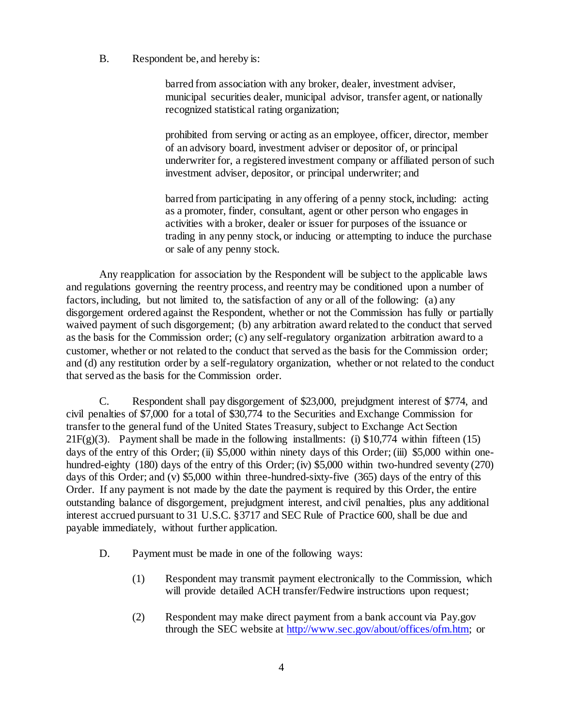### B. Respondent be, and hereby is:

barred from association with any broker, dealer, investment adviser, municipal securities dealer, municipal advisor, transfer agent, or nationally recognized statistical rating organization;

prohibited from serving or acting as an employee, officer, director, member of an advisory board, investment adviser or depositor of, or principal underwriter for, a registered investment company or affiliated person of such investment adviser, depositor, or principal underwriter; and

barred from participating in any offering of a penny stock, including: acting as a promoter, finder, consultant, agent or other person who engages in activities with a broker, dealer or issuer for purposes of the issuance or trading in any penny stock, or inducing or attempting to induce the purchase or sale of any penny stock.

Any reapplication for association by the Respondent will be subject to the applicable laws and regulations governing the reentry process, and reentry may be conditioned upon a number of factors, including, but not limited to, the satisfaction of any or all of the following: (a) any disgorgement ordered against the Respondent, whether or not the Commission has fully or partially waived payment of such disgorgement; (b) any arbitration award related to the conduct that served as the basis for the Commission order; (c) any self-regulatory organization arbitration award to a customer, whether or not related to the conduct that served as the basis for the Commission order; and (d) any restitution order by a self-regulatory organization, whether or not related to the conduct that served as the basis for the Commission order.

C. Respondent shall pay disgorgement of \$23,000, prejudgment interest of \$774, and civil penalties of \$7,000 for a total of \$30,774 to the Securities and Exchange Commission for transfer to the general fund of the United States Treasury, subject to Exchange Act Section 21F(g)(3). Payment shall be made in the following installments: (i)  $$10,774$  within fifteen (15) days of the entry of this Order; (ii) \$5,000 within ninety days of this Order; (iii) \$5,000 within onehundred-eighty (180) days of the entry of this Order; (iv) \$5,000 within two-hundred seventy (270) days of this Order; and (v) \$5,000 within three-hundred-sixty-five (365) days of the entry of this Order. If any payment is not made by the date the payment is required by this Order, the entire outstanding balance of disgorgement, prejudgment interest, and civil penalties, plus any additional interest accrued pursuant to 31 U.S.C. §3717 and SEC Rule of Practice 600, shall be due and payable immediately, without further application.

- D. Payment must be made in one of the following ways:
	- (1) Respondent may transmit payment electronically to the Commission, which will provide detailed ACH transfer/Fedwire instructions upon request;
	- (2) Respondent may make direct payment from a bank account via Pay.gov through the SEC website a[t http://www.sec.gov/about/offices/ofm.htm;](http://www.sec.gov/about/offices/ofm.htm) or